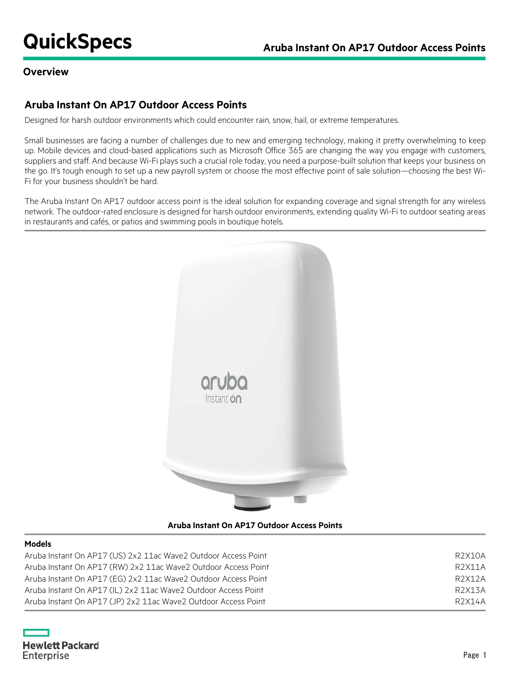### **Overview**

# **Aruba Instant On AP17 Outdoor Access Points**

Designed for harsh outdoor environments which could encounter rain, snow, hail, or extreme temperatures.

Small businesses are facing a number of challenges due to new and emerging technology, making it pretty overwhelming to keep up. Mobile devices and cloud-based applications such as Microsoft Office 365 are changing the way you engage with customers, suppliers and staff. And because Wi-Fi plays such a crucial role today, you need a purpose-built solution that keeps your business on the go. It's tough enough to set up a new payroll system or choose the most effective point of sale solution—choosing the best Wi-Fi for your business shouldn't be hard.

The Aruba Instant On AP17 outdoor access point is the ideal solution for expanding coverage and signal strength for any wireless network. The outdoor-rated enclosure is designed for harsh outdoor environments, extending quality Wi-Fi to outdoor seating areas in restaurants and cafés, or patios and swimming pools in boutique hotels.



**Aruba Instant On AP17 Outdoor Access Points**

### **Models**

| Aruba Instant On AP17 (US) 2x2 11ac Wave2 Outdoor Access Point | R2X10A              |
|----------------------------------------------------------------|---------------------|
| Aruba Instant On AP17 (RW) 2x2 11ac Wave2 Outdoor Access Point | R <sub>2</sub> X11A |
| Aruba Instant On AP17 (EG) 2x2 11ac Wave2 Outdoor Access Point | R2X12A              |
| Aruba Instant On AP17 (IL) 2x2 11ac Wave2 Outdoor Access Point | R2X13A              |
| Aruba Instant On AP17 (JP) 2x2 11ac Waye2 Outdoor Access Point | R2X14A              |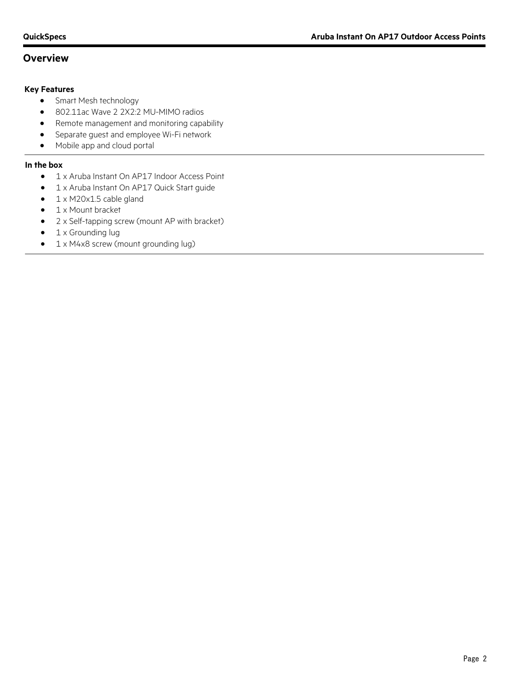# **Overview**

### **Key Features**

- Smart Mesh technology
- 802.11ac Wave 2 2X2:2 MU-MIMO radios
- Remote management and monitoring capability
- Separate guest and employee Wi-Fi network
- Mobile app and cloud portal

### **In the box**

- 1 x Aruba Instant On AP17 Indoor Access Point
- 1 x Aruba Instant On AP17 Quick Start guide
- 1 x M20x1.5 cable gland
- 1 x Mount bracket
- 2 x Self-tapping screw (mount AP with bracket)
- 1 x Grounding lug
- 1 x M4x8 screw (mount grounding lug)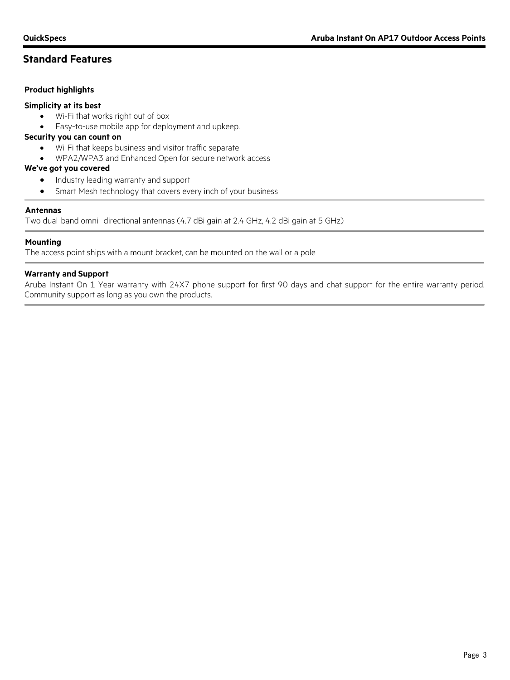# **Standard Features**

### **Product highlights**

### **Simplicity at its best**

- Wi-Fi that works right out of box
- Easy-to-use mobile app for deployment and upkeep.

### **Security you can count on**

- Wi-Fi that keeps business and visitor traffic separate
- WPA2/WPA3 and Enhanced Open for secure network access

### **We've got you covered**

- Industry leading warranty and support
- Smart Mesh technology that covers every inch of your business

### **Antennas**

Two dual-band omni- directional antennas (4.7 dBi gain at 2.4 GHz, 4.2 dBi gain at 5 GHz)

### **Mounting**

The access point ships with a mount bracket, can be mounted on the wall or a pole

### **Warranty and Support**

Aruba Instant On 1 Year warranty with 24X7 phone support for first 90 days and chat support for the entire warranty period. Community support as long as you own the products.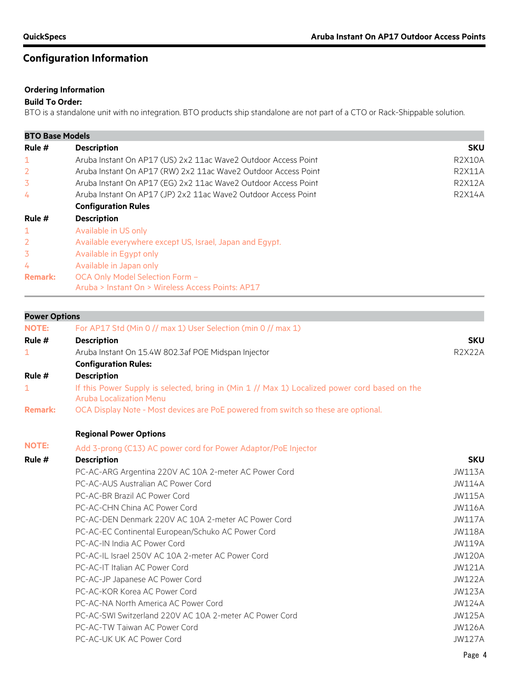# **Configuration Information**

# **Ordering Information**

### **Build To Order:**

BTO is a standalone unit with no integration. BTO products ship standalone are not part of a CTO or Rack-Shippable solution.

| <b>BTO Base Models</b> |                                                                |               |  |  |
|------------------------|----------------------------------------------------------------|---------------|--|--|
| Rule #                 | <b>Description</b>                                             | <b>SKU</b>    |  |  |
| 1                      | Aruba Instant On AP17 (US) 2x2 11ac Wave2 Outdoor Access Point | <b>R2X10A</b> |  |  |
| 2                      | Aruba Instant On AP17 (RW) 2x2 11ac Wave2 Outdoor Access Point | <b>R2X11A</b> |  |  |
| 3                      | Aruba Instant On AP17 (EG) 2x2 11ac Wave2 Outdoor Access Point | <b>R2X12A</b> |  |  |
| 4                      | Aruba Instant On AP17 (JP) 2x2 11ac Wave2 Outdoor Access Point | <b>R2X14A</b> |  |  |
|                        | <b>Configuration Rules</b>                                     |               |  |  |
| Rule #                 | <b>Description</b>                                             |               |  |  |
| $\mathbf{1}$           | Available in US only                                           |               |  |  |
| 2                      | Available everywhere except US, Israel, Japan and Egypt.       |               |  |  |
| 3                      | Available in Egypt only                                        |               |  |  |
| 4                      | Available in Japan only                                        |               |  |  |
| <b>Remark:</b>         | OCA Only Model Selection Form -                                |               |  |  |
|                        | Aruba > Instant On > Wireless Access Points: AP17              |               |  |  |

| <b>Power Options</b> |                                                                                                                                 |               |
|----------------------|---------------------------------------------------------------------------------------------------------------------------------|---------------|
| <b>NOTE:</b>         | For AP17 Std (Min 0 // max 1) User Selection (min 0 // max 1)                                                                   |               |
| Rule #               | <b>Description</b>                                                                                                              | <b>SKU</b>    |
| 1                    | Aruba Instant On 15.4W 802.3af POE Midspan Injector                                                                             | <b>R2X22A</b> |
|                      | <b>Configuration Rules:</b>                                                                                                     |               |
| Rule #               | <b>Description</b>                                                                                                              |               |
| 1                    | If this Power Supply is selected, bring in (Min 1 // Max 1) Localized power cord based on the<br><b>Aruba Localization Menu</b> |               |
| <b>Remark:</b>       | OCA Display Note - Most devices are PoE powered from switch so these are optional.                                              |               |
|                      | <b>Regional Power Options</b>                                                                                                   |               |
| <b>NOTE:</b>         | Add 3-prong (C13) AC power cord for Power Adaptor/PoE Injector                                                                  |               |
| Rule #               | <b>Description</b>                                                                                                              | <b>SKU</b>    |
|                      | PC-AC-ARG Argentina 220V AC 10A 2-meter AC Power Cord                                                                           | <b>JW113A</b> |
|                      | PC-AC-AUS Australian AC Power Cord                                                                                              | <b>JW114A</b> |
|                      | PC-AC-BR Brazil AC Power Cord                                                                                                   | <b>JW115A</b> |
|                      | PC-AC-CHN China AC Power Cord                                                                                                   | <b>JW116A</b> |
|                      | PC-AC-DEN Denmark 220V AC 10A 2-meter AC Power Cord                                                                             | <b>JW117A</b> |
|                      | PC-AC-EC Continental European/Schuko AC Power Cord                                                                              | <b>JW118A</b> |
|                      | PC-AC-IN India AC Power Cord                                                                                                    | <b>JW119A</b> |
|                      | PC-AC-IL Israel 250V AC 10A 2-meter AC Power Cord                                                                               | <b>JW120A</b> |
|                      | PC-AC-IT Italian AC Power Cord                                                                                                  | <b>JW121A</b> |
|                      | PC-AC-JP Japanese AC Power Cord                                                                                                 | <b>JW122A</b> |
|                      | PC-AC-KOR Korea AC Power Cord                                                                                                   | <b>JW123A</b> |
|                      | PC-AC-NA North America AC Power Cord                                                                                            | <b>JW124A</b> |
|                      | PC-AC-SWI Switzerland 220V AC 10A 2-meter AC Power Cord                                                                         | <b>JW125A</b> |
|                      | PC-AC-TW Taiwan AC Power Cord                                                                                                   | <b>JW126A</b> |
|                      | PC-AC-UK UK AC Power Cord                                                                                                       | <b>JW127A</b> |
|                      |                                                                                                                                 |               |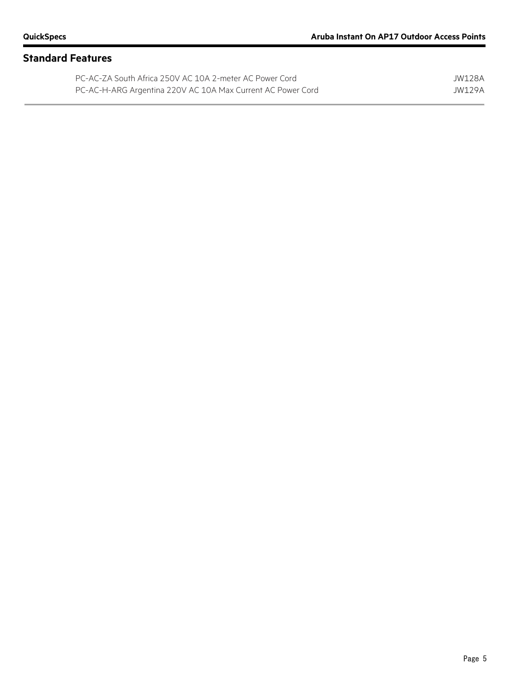# **Standard Features**

| PC-AC-ZA South Africa 250V AC 10A 2-meter AC Power Cord     | JW128A |
|-------------------------------------------------------------|--------|
| PC-AC-H-ARG Argentina 220V AC 10A Max Current AC Power Cord | JW129A |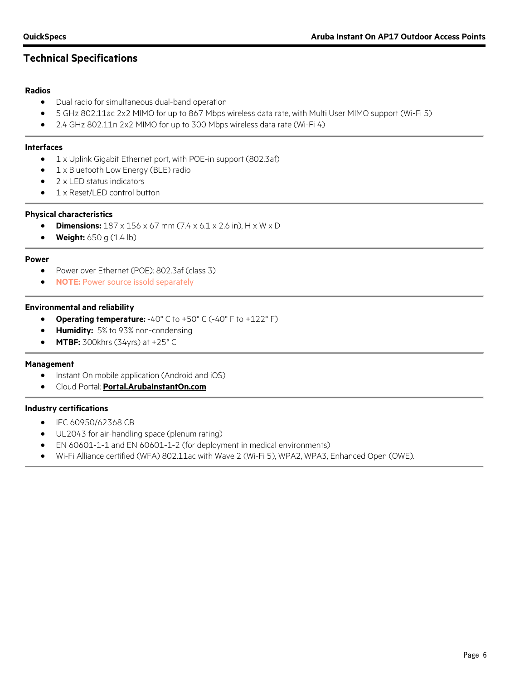# **Technical Specifications**

### **Radios**

- Dual radio for simultaneous dual-band operation
- 5 GHz 802.11ac 2x2 MIMO for up to 867 Mbps wireless data rate, with Multi User MIMO support (Wi-Fi 5)
- 2.4 GHz 802.11n 2x2 MIMO for up to 300 Mbps wireless data rate (Wi-Fi 4)

### **Interfaces**

- 1 x Uplink Gigabit Ethernet port, with POE-in support (802.3af)
- 1 x Bluetooth Low Energy (BLE) radio
- 2 x LED status indicators
- 1 x Reset/LED control button

### **Physical characteristics**

- **Dimensions:** 187 x 156 x 67 mm (7.4 x 6.1 x 2.6 in), H x W x D
- **Weight:** 650 g (1.4 lb)

### **Power**

- Power over Ethernet (POE): 802.3af (class 3)
- **NOTE:** Power source issold separately

### **Environmental and reliability**

- **Operating temperature:** -40° C to +50° C (-40° F to +122° F)
- **Humidity:** 5% to 93% non-condensing
- **MTBF:** 300khrs (34yrs) at +25° C

### **Management**

- Instant On mobile application (Android and iOS)
- Cloud Portal: **[Portal.ArubaInstantOn.com](http://www.portal.arubainstanton.com/)**

### **Industry certifications**

- IEC 60950/62368 CB
- UL2043 for air-handling space (plenum rating)
- EN 60601-1-1 and EN 60601-1-2 (for deployment in medical environments)
- Wi-Fi Alliance certified (WFA) 802.11ac with Wave 2 (Wi-Fi 5), WPA2, WPA3, Enhanced Open (OWE).